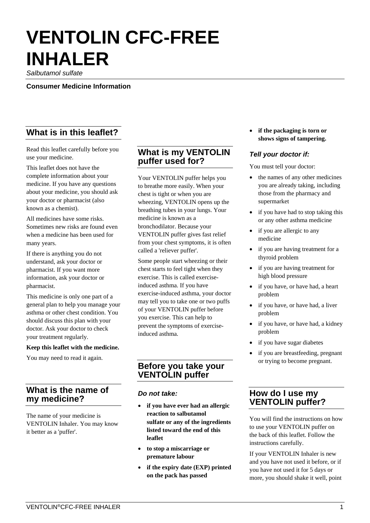# **VENTOLIN CFC-FREE INHALER**

*Salbutamol sulfate* 

**Consumer Medicine Information** 

# **What is in this leaflet?**

Read this leaflet carefully before you use your medicine.

This leaflet does not have the complete information about your medicine. If you have any questions about your medicine, you should ask your doctor or pharmacist (also known as a chemist).

All medicines have some risks. Sometimes new risks are found even when a medicine has been used for many years.

If there is anything you do not understand, ask your doctor or pharmacist. If you want more information, ask your doctor or pharmacist.

This medicine is only one part of a general plan to help you manage your asthma or other chest condition. You should discuss this plan with your doctor. Ask your doctor to check your treatment regularly.

#### **Keep this leaflet with the medicine.**

You may need to read it again.

## **What is the name of my medicine?**

The name of your medicine is VENTOLIN Inhaler. You may know it better as a 'puffer'.

## **What is my VENTOLIN puffer used for?**

Your VENTOLIN puffer helps you to breathe more easily. When your chest is tight or when you are wheezing, VENTOLIN opens up the breathing tubes in your lungs. Your medicine is known as a bronchodilator. Because your VENTOLIN puffer gives fast relief from your chest symptoms, it is often called a 'reliever puffer'.

Some people start wheezing or their chest starts to feel tight when they exercise. This is called exerciseinduced asthma. If you have exercise-induced asthma, your doctor may tell you to take one or two puffs of your VENTOLIN puffer before you exercise. This can help to prevent the symptoms of exerciseinduced asthma.

## **Before you take your VENTOLIN puffer**

### *Do not take:*

- **if you have ever had an allergic reaction to salbutamol sulfate or any of the ingredients listed toward the end of this leaflet**
- **to stop a miscarriage or premature labour**
- **if the expiry date (EXP) printed on the pack has passed**

 **if the packaging is torn or shows signs of tampering.**

## *Tell your doctor if:*

You must tell your doctor:

- the names of any other medicines you are already taking, including those from the pharmacy and supermarket
- if you have had to stop taking this or any other asthma medicine
- if you are allergic to any medicine
- if you are having treatment for a thyroid problem
- if you are having treatment for high blood pressure
- if you have, or have had, a heart problem
- if you have, or have had, a liver problem
- if you have, or have had, a kidney problem
- if you have sugar diabetes
- if you are breastfeeding, pregnant or trying to become pregnant.

## **How do I use my VENTOLIN puffer?**

You will find the instructions on how to use your VENTOLIN puffer on the back of this leaflet. Follow the instructions carefully.

If your VENTOLIN Inhaler is new and you have not used it before, or if you have not used it for 5 days or more, you should shake it well, point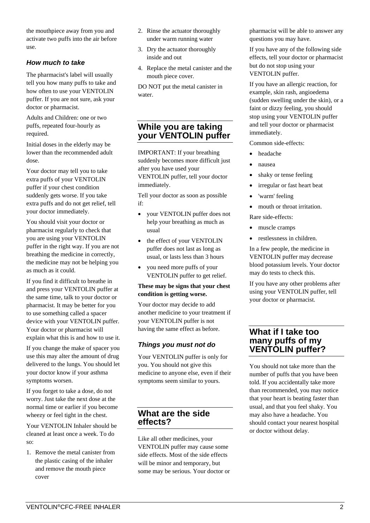the mouthpiece away from you and activate two puffs into the air before use.

## *How much to take*

The pharmacist's label will usually tell you how many puffs to take and how often to use your VENTOLIN puffer. If you are not sure, ask your doctor or pharmacist.

Adults and Children: one or two puffs, repeated four-hourly as required.

Initial doses in the elderly may be lower than the recommended adult dose.

Your doctor may tell you to take extra puffs of your VENTOLIN puffer if your chest condition suddenly gets worse. If you take extra puffs and do not get relief, tell your doctor immediately.

You should visit your doctor or pharmacist regularly to check that you are using your VENTOLIN puffer in the right way. If you are not breathing the medicine in correctly, the medicine may not be helping you as much as it could.

If you find it difficult to breathe in and press your VENTOLIN puffer at the same time, talk to your doctor or pharmacist. It may be better for you to use something called a spacer device with your VENTOLIN puffer. Your doctor or pharmacist will explain what this is and how to use it.

If you change the make of spacer you use this may alter the amount of drug delivered to the lungs. You should let your doctor know if your asthma symptoms worsen.

If you forget to take a dose, do not worry. Just take the next dose at the normal time or earlier if you become wheezy or feel tight in the chest.

Your VENTOLIN Inhaler should be cleaned at least once a week. To do so:

1. Remove the metal canister from the plastic casing of the inhaler and remove the mouth piece cover

- 2. Rinse the actuator thoroughly under warm running water
- 3. Dry the actuator thoroughly inside and out
- 4. Replace the metal canister and the mouth piece cover.

DO NOT put the metal canister in water.

# **While you are taking your VENTOLIN puffer**

IMPORTANT: If your breathing suddenly becomes more difficult just after you have used your VENTOLIN puffer, tell your doctor immediately.

Tell your doctor as soon as possible if:

- your VENTOLIN puffer does not help your breathing as much as usual
- the effect of your VENTOLIN puffer does not last as long as usual, or lasts less than 3 hours
- you need more puffs of your VENTOLIN puffer to get relief.

#### **These may be signs that your chest condition is getting worse.**

Your doctor may decide to add another medicine to your treatment if your VENTOLIN puffer is not having the same effect as before.

## *Things you must not do*

Your VENTOLIN puffer is only for you. You should not give this medicine to anyone else, even if their symptoms seem similar to yours.

## **What are the side effects?**

Like all other medicines, your VENTOLIN puffer may cause some side effects. Most of the side effects will be minor and temporary, but some may be serious. Your doctor or pharmacist will be able to answer any questions you may have.

If you have any of the following side effects, tell your doctor or pharmacist but do not stop using your VENTOLIN puffer.

If you have an allergic reaction, for example, skin rash, angioedema (sudden swelling under the skin), or a faint or dizzy feeling, you should stop using your VENTOLIN puffer and tell your doctor or pharmacist immediately.

Common side-effects:

- headache
- nausea
- shaky or tense feeling
- irregular or fast heart beat
- 'warm' feeling
- mouth or throat irritation.
- Rare side-effects:
- muscle cramps
- restlessness in children.

In a few people, the medicine in VENTOLIN puffer may decrease blood potassium levels. Your doctor may do tests to check this.

If you have any other problems after using your VENTOLIN puffer, tell your doctor or pharmacist.

## **What if I take too many puffs of my VENTOLIN puffer?**

You should not take more than the number of puffs that you have been told. If you accidentally take more than recommended, you may notice that your heart is beating faster than usual, and that you feel shaky. You may also have a headache. You should contact your nearest hospital or doctor without delay.